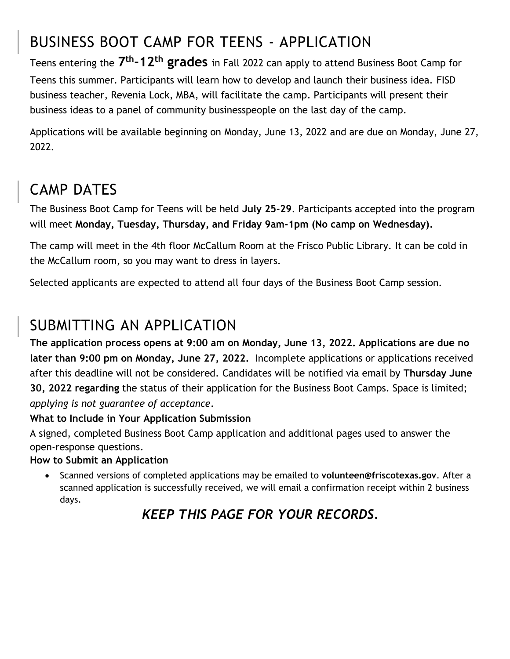# BUSINESS BOOT CAMP FOR TEENS - APPLICATION

Teens entering the **7 th-12th grades** in Fall 2022 can apply to attend Business Boot Camp for Teens this summer. Participants will learn how to develop and launch their business idea. FISD business teacher, Revenia Lock, MBA, will facilitate the camp. Participants will present their business ideas to a panel of community businesspeople on the last day of the camp.

Applications will be available beginning on Monday, June 13, 2022 and are due on Monday, June 27, 2022.

# CAMP DATES

The Business Boot Camp for Teens will be held **July 25-29**. Participants accepted into the program will meet **Monday, Tuesday, Thursday, and Friday 9am-1pm (No camp on Wednesday).**

The camp will meet in the 4th floor McCallum Room at the Frisco Public Library. It can be cold in the McCallum room, so you may want to dress in layers.

Selected applicants are expected to attend all four days of the Business Boot Camp session.

## SUBMITTING AN APPLICATION

**The application process opens at 9:00 am on Monday, June 13, 2022. Applications are due no later than 9:00 pm on Monday, June 27, 2022.** Incomplete applications or applications received after this deadline will not be considered. Candidates will be notified via email by **Thursday June 30, 2022 regarding** the status of their application for the Business Boot Camps. Space is limited; *applying is not guarantee of acceptance*.

### **What to Include in Your Application Submission**

A signed, completed Business Boot Camp application and additional pages used to answer the open-response questions.

### **How to Submit an Application**

• Scanned versions of completed applications may be emailed to **volunteen@friscotexas.gov**. After a scanned application is successfully received, we will email a confirmation receipt within 2 business days.

## *KEEP THIS PAGE FOR YOUR RECORDS.*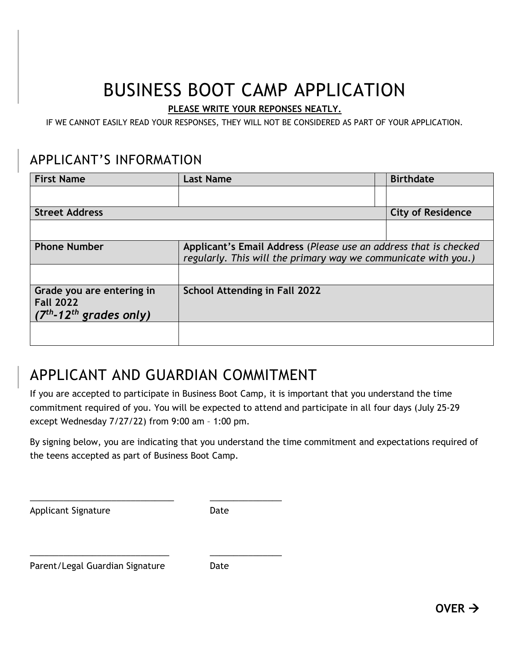# BUSINESS BOOT CAMP APPLICATION

#### **PLEASE WRITE YOUR REPONSES NEATLY.**

IF WE CANNOT EASILY READ YOUR RESPONSES, THEY WILL NOT BE CONSIDERED AS PART OF YOUR APPLICATION.

### APPLICANT'S INFORMATION

| <b>First Name</b>                                                           | <b>Last Name</b>                                                                                                                   | <b>Birthdate</b>         |
|-----------------------------------------------------------------------------|------------------------------------------------------------------------------------------------------------------------------------|--------------------------|
|                                                                             |                                                                                                                                    |                          |
| <b>Street Address</b>                                                       |                                                                                                                                    | <b>City of Residence</b> |
|                                                                             |                                                                                                                                    |                          |
| <b>Phone Number</b>                                                         | Applicant's Email Address (Please use an address that is checked<br>regularly. This will the primary way we communicate with you.) |                          |
|                                                                             |                                                                                                                                    |                          |
| Grade you are entering in<br><b>Fall 2022</b><br>$(7th - 12th$ grades only) | <b>School Attending in Fall 2022</b>                                                                                               |                          |
|                                                                             |                                                                                                                                    |                          |

## APPLICANT AND GUARDIAN COMMITMENT

\_\_\_\_\_\_\_\_\_\_\_\_\_\_\_\_\_\_\_\_\_\_\_\_\_\_\_\_\_\_ \_\_\_\_\_\_\_\_\_\_\_\_\_\_\_

\_\_\_\_\_\_\_\_\_\_\_\_\_\_\_\_\_\_\_\_\_\_\_\_\_\_\_\_\_ \_\_\_\_\_\_\_\_\_\_\_\_\_\_\_

If you are accepted to participate in Business Boot Camp, it is important that you understand the time commitment required of you. You will be expected to attend and participate in all four days (July 25-29 except Wednesday 7/27/22) from 9:00 am – 1:00 pm.

By signing below, you are indicating that you understand the time commitment and expectations required of the teens accepted as part of Business Boot Camp.

Applicant Signature **Date** 

Parent/Legal Guardian Signature Date